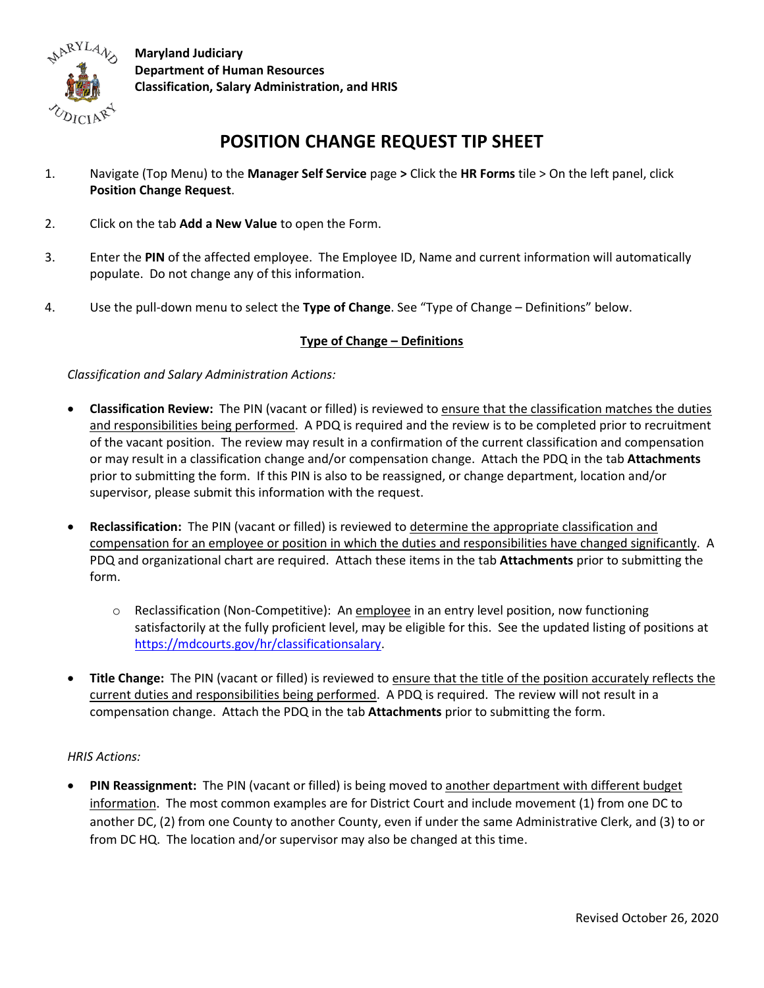

**Maryland Judiciary Department of Human Resources Classification, Salary Administration, and HRIS**

## **POSITION CHANGE REQUEST TIP SHEET**

- 1. Navigate (Top Menu) to the **Manager Self Service** page **>** Click the **HR Forms** tile > On the left panel, click **Position Change Request**.
- 2. Click on the tab **Add a New Value** to open the Form.
- 3. Enter the **PIN** of the affected employee. The Employee ID, Name and current information will automatically populate. Do not change any of this information.
- 4. Use the pull-down menu to select the **Type of Change**. See "Type of Change Definitions" below.

## **Type of Change – Definitions**

*Classification and Salary Administration Actions:*

- **Classification Review:** The PIN (vacant or filled) is reviewed to ensure that the classification matches the duties and responsibilities being performed. A PDQ is required and the review is to be completed prior to recruitment of the vacant position. The review may result in a confirmation of the current classification and compensation or may result in a classification change and/or compensation change. Attach the PDQ in the tab **Attachments** prior to submitting the form. If this PIN is also to be reassigned, or change department, location and/or supervisor, please submit this information with the request.
- **Reclassification:** The PIN (vacant or filled) is reviewed to determine the appropriate classification and compensation for an employee or position in which the duties and responsibilities have changed significantly. A PDQ and organizational chart are required. Attach these items in the tab **Attachments** prior to submitting the form.
	- o Reclassification (Non-Competitive): An employee in an entry level position, now functioning satisfactorily at the fully proficient level, may be eligible for this. See the updated listing of positions at [https://mdcourts.gov/hr/classificationsalary.](https://mdcourts.gov/hr/classificationsalary)
- **Title Change:** The PIN (vacant or filled) is reviewed to ensure that the title of the position accurately reflects the current duties and responsibilities being performed. A PDQ is required. The review will not result in a compensation change. Attach the PDQ in the tab **Attachments** prior to submitting the form.

## *HRIS Actions:*

• **PIN Reassignment:** The PIN (vacant or filled) is being moved to another department with different budget information. The most common examples are for District Court and include movement (1) from one DC to another DC, (2) from one County to another County, even if under the same Administrative Clerk, and (3) to or from DC HQ. The location and/or supervisor may also be changed at this time.